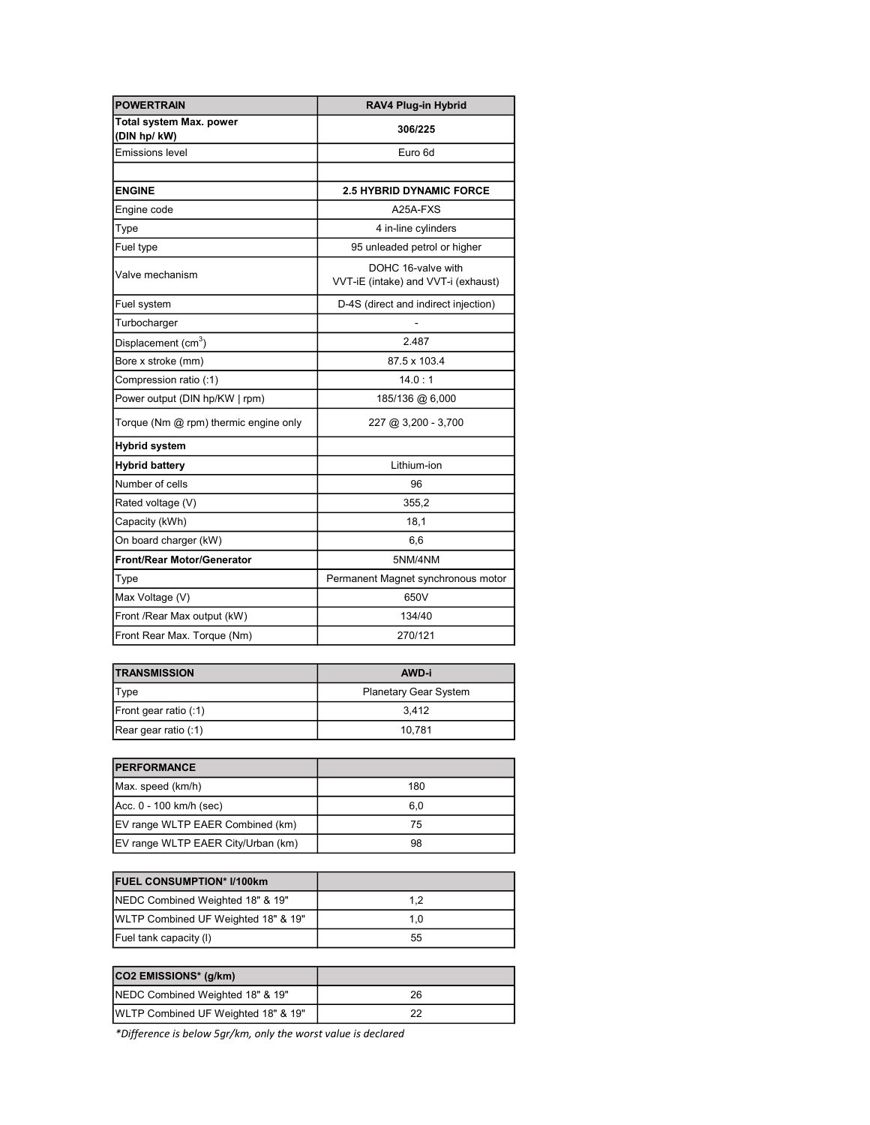| <b>POWERTRAIN</b>                      | RAV4 Plug-in Hybrid                                       |
|----------------------------------------|-----------------------------------------------------------|
| Total system Max. power<br>(DIN hp/kW) | 306/225                                                   |
| <b>Emissions level</b>                 | Euro 6d                                                   |
|                                        |                                                           |
| <b>ENGINE</b>                          | <b>2.5 HYBRID DYNAMIC FORCE</b>                           |
| Engine code                            | A25A-FXS                                                  |
| Type                                   | 4 in-line cylinders                                       |
| Fuel type                              | 95 unleaded petrol or higher                              |
| Valve mechanism                        | DOHC 16-valve with<br>VVT-iE (intake) and VVT-i (exhaust) |
| Fuel system                            | D-4S (direct and indirect injection)                      |
| Turbocharger                           |                                                           |
| Displacement (cm <sup>3</sup> )        | 2.487                                                     |
| Bore x stroke (mm)                     | 87.5 x 103.4                                              |
| Compression ratio (:1)                 | 14.0:1                                                    |
| Power output (DIN hp/KW   rpm)         | 185/136 @ 6,000                                           |
| Torque (Nm @ rpm) thermic engine only  | 227 @ 3,200 - 3,700                                       |
| <b>Hybrid system</b>                   |                                                           |
| <b>Hybrid battery</b>                  | Lithium-ion                                               |
| Number of cells                        | 96                                                        |
| Rated voltage (V)                      | 355,2                                                     |
| Capacity (kWh)                         | 18,1                                                      |
| On board charger (kW)                  | 6,6                                                       |
| <b>Front/Rear Motor/Generator</b>      | 5NM/4NM                                                   |
| Type                                   | Permanent Magnet synchronous motor                        |
| Max Voltage (V)                        | 650V                                                      |
| Front /Rear Max output (kW)            | 134/40                                                    |
| Front Rear Max. Torque (Nm)            | 270/121                                                   |

| <b>TRANSMISSION</b>   | AWD-i                        |
|-----------------------|------------------------------|
| <b>Type</b>           | <b>Planetary Gear System</b> |
| Front gear ratio (:1) | 3.412                        |
| Rear gear ratio (:1)  | 10.781                       |

| <b>IPERFORMANCE</b>                |     |
|------------------------------------|-----|
| Max. speed (km/h)                  | 180 |
| Acc. 0 - 100 km/h (sec)            | 6.0 |
| EV range WLTP EAER Combined (km)   | 75  |
| EV range WLTP EAER City/Urban (km) | 98  |

| <b>IFUEL CONSUMPTION* I/100km</b>           |     |
|---------------------------------------------|-----|
| <b>NEDC Combined Weighted 18" &amp; 19"</b> | 1.2 |
| WLTP Combined UF Weighted 18" & 19"         | 1.0 |
| Fuel tank capacity (I)                      | 55  |

| CO2 EMISSIONS* (g/km)               |    |
|-------------------------------------|----|
| NEDC Combined Weighted 18" & 19"    | 26 |
| WLTP Combined UF Weighted 18" & 19" |    |

\*Difference is below 5gr/km, only the worst value is declared